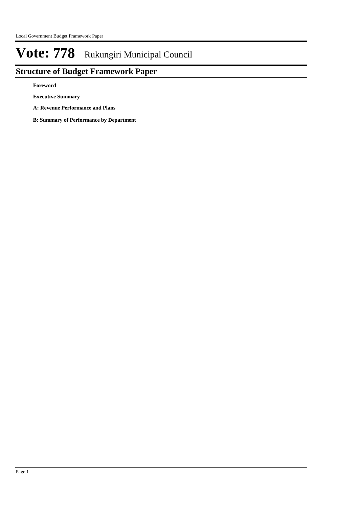## **Structure of Budget Framework Paper**

**Foreword**

**Executive Summary**

**A: Revenue Performance and Plans**

**B: Summary of Performance by Department**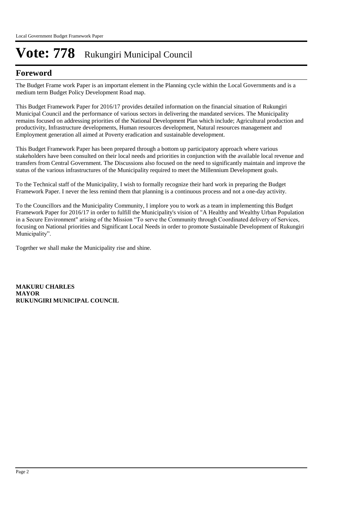### **Foreword**

The Budget Frame work Paper is an important element in the Planning cycle within the Local Governments and is a medium term Budget Policy Development Road map.

This Budget Framework Paper for 2016/17 provides detailed information on the financial situation of Rukungiri Municipal Council and the performance of various sectors in delivering the mandated services. The Municipality remains focused on addressing priorities of the National Development Plan which include; Agricultural production and productivity, Infrastructure developments, Human resources development, Natural resources management and Employment generation all aimed at Poverty eradication and sustainable development.

This Budget Framework Paper has been prepared through a bottom up participatory approach where various stakeholders have been consulted on their local needs and priorities in conjunction with the available local revenue and transfers from Central Government. The Discussions also focused on the need to significantly maintain and improve the status of the various infrastructures of the Municipality required to meet the Millennium Development goals.

To the Technical staff of the Municipality, I wish to formally recognize their hard work in preparing the Budget Framework Paper. I never the less remind them that planning is a continuous process and not a one-day activity.

To the Councillors and the Municipality Community, I implore you to work as a team in implementing this Budget Framework Paper for 2016/17 in order to fulfill the Municipality's vision of "A Healthy and Wealthy Urban Population in a Secure Environment" arising of the Mission "To serve the Community through Coordinated delivery of Services, focusing on National priorities and Significant Local Needs in order to promote Sustainable Development of Rukungiri Municipality".

Together we shall make the Municipality rise and shine.

**MAKURU CHARLES MAYOR RUKUNGIRI MUNICIPAL COUNCIL**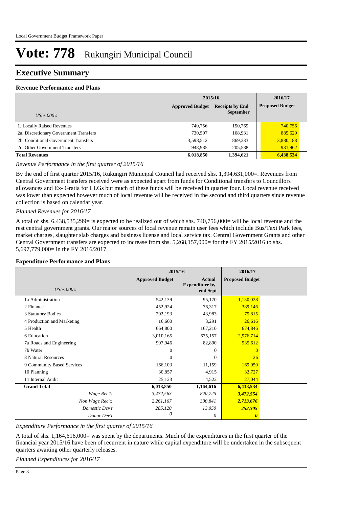### **Executive Summary**

#### **Revenue Performance and Plans**

|                                        | 2015/16                |                                            | 2016/17                |
|----------------------------------------|------------------------|--------------------------------------------|------------------------|
| UShs $000's$                           | <b>Approved Budget</b> | <b>Receipts by End</b><br><b>September</b> | <b>Proposed Budget</b> |
| 1. Locally Raised Revenues             | 740,756                | 150,769                                    | 740,756                |
| 2a. Discretionary Government Transfers | 730,597                | 168,931                                    | 885,629                |
| 2b. Conditional Government Transfers   | 3,598,512              | 869,333                                    | 3,880,188              |
| 2c. Other Government Transfers         | 948,985                | 205,588                                    | 931,962                |
| <b>Total Revenues</b>                  | 6,018,850              | 1,394,621                                  | 6,438,534              |

*Revenue Performance in the first quarter of 2015/16*

By the end of first quarter 2015/16, Rukungiri Municipal Council had received shs. 1,394,631,000=. Revenues from Central Government transfers received were as expected apart from funds for Conditional transfers to Councillors allowances and Ex- Gratia for LLGs but much of these funds will be received in quarter four. Local revenue received was lower than expected however much of local revenue will be received in the second and third quarters since revenue collection is based on calendar year.

#### *Planned Revenues for 2016/17*

A total of shs. 6,438,535,299= is expected to be realized out of which shs. 740,756,000= will be local revenue and the rest central government grants. Our major sources of local revenue remain user fees which include Bus/Taxi Park fees, market charges, slaughter slab charges and business license and local service tax. Central Government Grants and other Central Government transfers are expected to increase from shs. 5,268,157,000= for the FY 2015/2016 to shs. 5,697,779,000= in the FY 2016/2017.

#### **Expenditure Performance and Plans**

|                            | 2015/16                |                                                    | 2016/17                |  |
|----------------------------|------------------------|----------------------------------------------------|------------------------|--|
| <b>UShs 000's</b>          | <b>Approved Budget</b> | <b>Actual</b><br><b>Expenditure by</b><br>end Sept | <b>Proposed Budget</b> |  |
| 1a Administration          | 542,139                | 95,170                                             | 1,130,028              |  |
| 2 Finance                  | 452,924                | 76,317                                             | 389,146                |  |
| 3 Statutory Bodies         | 202,193                | 43,983                                             | 75,815                 |  |
| 4 Production and Marketing | 16,600                 | 3,291                                              | 26,616                 |  |
| 5 Health                   | 664,800                | 167,210                                            | 674,846                |  |
| 6 Education                | 3,010,165              | 675,157                                            | 2,976,714              |  |
| 7a Roads and Engineering   | 907,946                | 82,890                                             | 935,612                |  |
| 7b Water                   | $\mathbf{0}$           | $\Omega$                                           | $\Omega$               |  |
| 8 Natural Resources        | $\Omega$               | $\Omega$                                           | 26                     |  |
| 9 Community Based Services | 166,103                | 11,159                                             | 169,959                |  |
| 10 Planning                | 30,857                 | 4,915                                              | 32,727                 |  |
| 11 Internal Audit          | 25,123                 | 4,522                                              | 27,044                 |  |
| <b>Grand Total</b>         | 6,018,850              | 1,164,616                                          | 6,438,534              |  |
| Wage Rec't:                | 3,472,563              | 820,725                                            | 3,472,554              |  |
| Non Wage Rec't:            | 2,261,167              | 330,841                                            | 2,713,676              |  |
| Domestic Dev't             | 285,120                | 13,050                                             | 252,305                |  |
| Donor Dev't                | 0                      | 0                                                  | $\boldsymbol{\theta}$  |  |

*Expenditure Performance in the first quarter of 2015/16*

A total of shs. 1,164,616,000= was spent by the departments. Much of the expenditures in the first quarter of the financial year 2015/16 have been of recurrent in nature while capital expenditure will be undertaken in the subsequent quarters awaiting other quarterly releases.

*Planned Expenditures for 2016/17*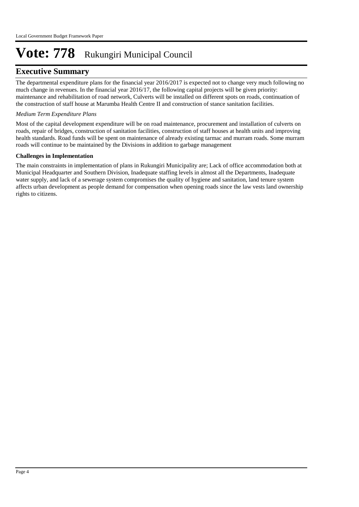### **Executive Summary**

The departmental expenditure plans for the financial year 2016/2017 is expected not to change very much following no much change in revenues. In the financial year 2016/17, the following capital projects will be given priority: maintenance and rehabilitation of road network, Culverts will be installed on different spots on roads, continuation of the construction of staff house at Marumba Health Centre II and construction of stance sanitation facilities.

#### *Medium Term Expenditure Plans*

Most of the capital development expenditure will be on road maintenance, procurement and installation of culverts on roads, repair of bridges, construction of sanitation facilities, construction of staff houses at health units and improving health standards. Road funds will be spent on maintenance of already existing tarmac and murram roads. Some murram roads will continue to be maintained by the Divisions in addition to garbage management

#### **Challenges in Implementation**

The main constraints in implementation of plans in Rukungiri Municipality are; Lack of office accommodation both at Municipal Headquarter and Southern Division, Inadequate staffing levels in almost all the Departments, Inadequate water supply, and lack of a sewerage system compromises the quality of hygiene and sanitation, land tenure system affects urban development as people demand for compensation when opening roads since the law vests land ownership rights to citizens.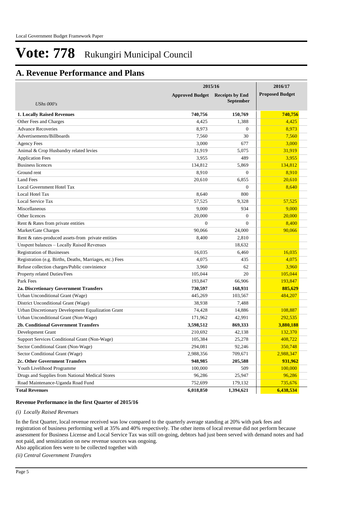## **A. Revenue Performance and Plans**

|                                                          | 2015/16                | 2016/17                |                        |
|----------------------------------------------------------|------------------------|------------------------|------------------------|
|                                                          | <b>Approved Budget</b> | <b>Receipts by End</b> | <b>Proposed Budget</b> |
| <b>UShs</b> 000's                                        |                        | <b>September</b>       |                        |
|                                                          |                        |                        |                        |
| <b>1. Locally Raised Revenues</b>                        | 740,756                | 150,769                | 740,756                |
| Other Fees and Charges                                   | 4,425                  | 1,388                  | 4,425                  |
| <b>Advance Recoveries</b>                                | 8,973                  | $\overline{0}$         | 8,973                  |
| Advertisements/Billboards                                | 7,560                  | 30                     | 7,560                  |
| <b>Agency Fees</b>                                       | 3,000                  | 677                    | 3,000                  |
| Animal & Crop Husbandry related levies                   | 31,919                 | 5,075                  | 31,919                 |
| <b>Application Fees</b>                                  | 3,955                  | 489                    | 3,955                  |
| <b>Business licences</b>                                 | 134,812                | 5,869                  | 134,812                |
| Ground rent                                              | 8,910                  | $\overline{0}$         | 8,910                  |
| <b>Land Fees</b>                                         | 20,610                 | 6,855                  | 20,610                 |
| Local Government Hotel Tax                               |                        | $\overline{0}$         | 8,640                  |
| Local Hotel Tax                                          | 8,640                  | 800                    |                        |
| Local Service Tax                                        | 57,525                 | 9,328                  | 57,525                 |
| Miscellaneous                                            | 9,000                  | 934                    | 9,000                  |
| Other licences                                           | 20,000                 | $\overline{0}$         | 20,000                 |
| Rent & Rates from private entities                       | $\boldsymbol{0}$       | $\Omega$               | 8,400                  |
| Market/Gate Charges                                      | 90,066                 | 24,000                 | 90,066                 |
| Rent & rates-produced assets-from private entities       | 8,400                  | 2,810                  |                        |
| Unspent balances – Locally Raised Revenues               |                        | 18,632                 |                        |
| <b>Registration of Businesses</b>                        | 16,035                 | 6,460                  | 16,035                 |
| Registration (e.g. Births, Deaths, Marriages, etc.) Fees | 4,075                  | 435                    | 4,075                  |
| Refuse collection charges/Public convinience             | 3,960                  | 62                     | 3,960                  |
| Property related Duties/Fees                             | 105,044                | 20                     | 105,044                |
| Park Fees                                                | 193,847                | 66,906                 | 193,847                |
| 2a. Discretionary Government Transfers                   | 730,597                | 168,931                | 885,629                |
| Urban Unconditional Grant (Wage)                         | 445,269                | 103,567                | 484,207                |
| District Unconditional Grant (Wage)                      | 38,938                 | 7,488                  |                        |
| Urban Discretionary Development Equalization Grant       | 74,428                 | 14,886                 | 108,887                |
| Urban Unconditional Grant (Non-Wage)                     | 171,962                | 42,991                 | 292,535                |
| 2b. Conditional Government Transfers                     | 3,598,512              | 869,333                | 3,880,188              |
| Development Grant                                        | 210,692                | 42,138                 | 132,370                |
| Support Services Conditional Grant (Non-Wage)            | 105,384                | 25,278                 | 408,722                |
| Sector Conditional Grant (Non-Wage)                      | 294,081                | 92,246                 | 350,748                |
| Sector Conditional Grant (Wage)                          | 2,988,356              | 709,671                | 2,988,347              |
| 2c. Other Government Transfers                           | 948,985                | 205,588                | 931,962                |
| Youth Livelihood Programme                               | 100,000                | 509                    | 100,000                |
| Drugs and Supplies from National Medical Stores          | 96,286                 | 25,947                 | 96,286                 |
| Road Maintenance-Uganda Road Fund                        | 752,699                | 179,132                | 735,676                |
| <b>Total Revenues</b>                                    | 6,018,850              | 1,394,621              | 6,438,534              |

#### **Revenue Performance in the first Quarter of 2015/16**

#### *(i) Locally Raised Revenues*

In the first Quarter, local revenue received was low compared to the quarterly average standing at 20% with park fees and registration of business performing well at 35% and 40% respectively. The other items of local revenue did not perform because assessment for Business License and Local Service Tax was still on-going, debtors had just been served with demand notes and had not paid, and sensitization on new revenue sources was ongoing.

Also application fees were to be collected together with

*(ii) Central Government Transfers*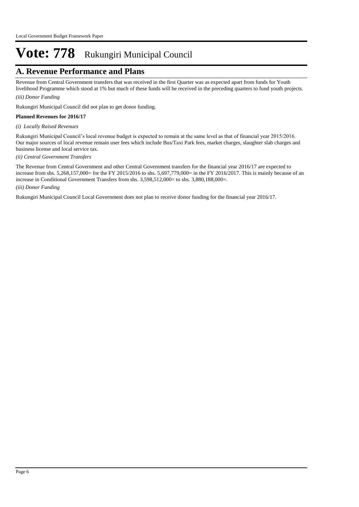### **A. Revenue Performance and Plans**

Revenue from Central Government transfers that was received in the first Quarter was as expected apart from funds for Youth livelihood Programme which stood at 1% but much of these funds will be received in the preceding quarters to fund youth projects.

#### *(iii) Donor Funding*

Rukungiri Municipal Council did not plan to get donor funding.

#### **Planned Revenues for 2016/17**

*(i) Locally Raised Revenues* 

Rukungiri Municipal Council's local revenue budget is expected to remain at the same level as that of financial year 2015/2016. Our major sources of local revenue remain user fees which include Bus/Taxi Park fees, market charges, slaughter slab charges and business license and local service tax.

#### *(ii) Central Government Transfers*

*(iii) Donor Funding* The Revenue from Central Government and other Central Government transfers for the financial year 2016/17 are expected to increase from shs. 5,268,157,000= for the FY 2015/2016 to shs. 5,697,779,000= in the FY 2016/2017. This is mainly because of an increase in Conditional Government Transfers from shs. 3,598,512,000= to shs. 3,880,188,000=.

Rukungiri Municipal Council Local Government does not plan to receive donor funding for the financial year 2016/17.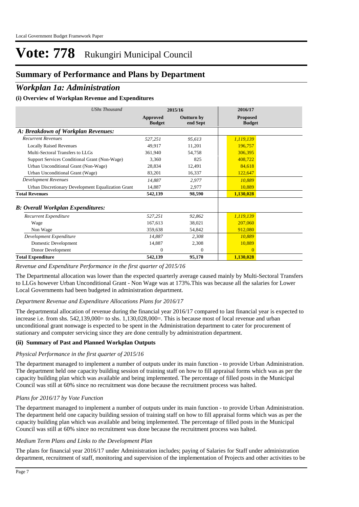## **Summary of Performance and Plans by Department**

### *Workplan 1a: Administration*

#### **(i) Overview of Workplan Revenue and Expenditures**

| <b>UShs Thousand</b>                               |                           | 2015/16                | 2016/17                          |
|----------------------------------------------------|---------------------------|------------------------|----------------------------------|
|                                                    | Approved<br><b>Budget</b> | Outturn by<br>end Sept | <b>Proposed</b><br><b>Budget</b> |
| A: Breakdown of Workplan Revenues:                 |                           |                        |                                  |
| <b>Recurrent Revenues</b>                          | 527,251                   | 95,613                 | 1,119,139                        |
| <b>Locally Raised Revenues</b>                     | 49,917                    | 11,201                 | 196,757                          |
| Multi-Sectoral Transfers to LLGs                   | 361,940                   | 54.758                 | 306,395                          |
| Support Services Conditional Grant (Non-Wage)      | 3.360                     | 825                    | 408.722                          |
| Urban Unconditional Grant (Non-Wage)               | 28,834                    | 12,491                 | 84,618                           |
| Urban Unconditional Grant (Wage)                   | 83,201                    | 16,337                 | 122,647                          |
| <b>Development Revenues</b>                        | 14,887                    | 2,977                  | 10,889                           |
| Urban Discretionary Development Equalization Grant | 14,887                    | 2,977                  | 10,889                           |
| <b>Total Revenues</b>                              | 542,139                   | 98,590                 | 1,130,028                        |
| <b>B</b> : Overall Workplan Expenditures:          |                           |                        |                                  |
| Recurrent Expenditure                              | 527,251                   | 92,862                 | 1,119,139                        |
| Wage                                               | 167.613                   | 38,021                 | 207,060                          |
| Non Wage                                           | 359,638                   | 54,842                 | 912,080                          |
| Development Expenditure                            | 14,887                    | 2,308                  | 10,889                           |
| Domestic Development                               | 14,887                    | 2,308                  | 10,889                           |
| Donor Development                                  | $\Omega$                  | $\theta$               | $\Omega$                         |
| <b>Total Expenditure</b>                           | 542,139                   | 95,170                 | 1,130,028                        |

*Revenue and Expenditure Performance in the first quarter of 2015/16*

The Departmental allocation was lower than the expected quarterly average caused mainly by Multi-Sectoral Transfers to LLGs however Urban Unconditional Grant - Non Wage was at 173%.This was because all the salaries for Lower Local Governments had been budgeted in administration department.

#### *Department Revenue and Expenditure Allocations Plans for 2016/17*

The departmental allocation of revenue during the financial year 2016/17 compared to last financial year is expected to increase i.e. from shs. 542,139,000= to shs. 1,130,028,000=. This is because most of local revenue and urban unconditional grant nonwage is expected to be spent in the Administration department to cater for procurement of stationary and computer servicing since they are done centrally by administration department.

#### **(ii) Summary of Past and Planned Workplan Outputs**

#### *Physical Performance in the first quarter of 2015/16*

The department managed to implement a number of outputs under its main function - to provide Urban Administration. The department held one capacity building session of training staff on how to fill appraisal forms which was as per the capacity building plan which was available and being implemented. The percentage of filled posts in the Municipal Council was still at 60% since no recruitment was done because the recruitment process was halted.

#### *Plans for 2016/17 by Vote Function*

The department managed to implement a number of outputs under its main function - to provide Urban Administration. The department held one capacity building session of training staff on how to fill appraisal forms which was as per the capacity building plan which was available and being implemented. The percentage of filled posts in the Municipal Council was still at 60% since no recruitment was done because the recruitment process was halted.

#### *Medium Term Plans and Links to the Development Plan*

The plans for financial year 2016/17 under Administration includes; paying of Salaries for Staff under administration department, recruitment of staff, monitoring and supervision of the implementation of Projects and other activities to be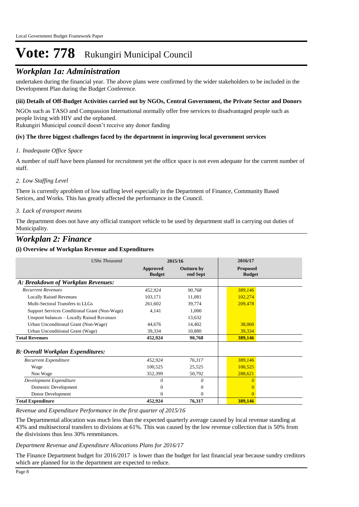### *Workplan 1a: Administration*

undertaken during the financial year. The above plans were confirmed by the wider stakeholders to be included in the Development Plan during the Budget Conference.

#### **(iii) Details of Off-Budget Activities carried out by NGOs, Central Government, the Private Sector and Donors**

NGOs such as TASO and Compassion International normally offer free services to disadvantaged people such as people living with HIV and the orphaned.

Rukungiri Municipal council doesn't receive any donor funding

#### **(iv) The three biggest challenges faced by the department in improving local government services**

#### *Inadequate Office Space 1.*

A number of staff have been planned for recruitment yet the office space is not even adequate for the current number of staff.

#### *Low Staffing Level 2.*

There is currently aproblem of low staffing level especially in the Department of Finance, Community Based Serices, and Works. This has greatly affected the performance in the Council.

#### *Lack of transport means 3.*

The department does not have any official transport vehicle to be used by department staff in carrying out duties of Municipality.

### *Workplan 2: Finance*

#### **(i) Overview of Workplan Revenue and Expenditures**

| <b>UShs Thousand</b>                          |                           | 2015/16                | 2016/17                          |
|-----------------------------------------------|---------------------------|------------------------|----------------------------------|
|                                               | Approved<br><b>Budget</b> | Outturn by<br>end Sept | <b>Proposed</b><br><b>Budget</b> |
| A: Breakdown of Workplan Revenues:            |                           |                        |                                  |
| <b>Recurrent Revenues</b>                     | 452,924                   | 90,768                 | 389,146                          |
| <b>Locally Raised Revenues</b>                | 103,171                   | 11,081                 | 102,274                          |
| Multi-Sectoral Transfers to LLGs              | 261,602                   | 39,774                 | 209,478                          |
| Support Services Conditional Grant (Non-Wage) | 4,141                     | 1,000                  |                                  |
| Unspent balances - Locally Raised Revenues    |                           | 13,632                 |                                  |
| Urban Unconditional Grant (Non-Wage)          | 44,676                    | 14,402                 | 38,060                           |
| Urban Unconditional Grant (Wage)              | 39,334                    | 10,880                 | 39,334                           |
| <b>Total Revenues</b>                         | 452,924                   | 90,768                 | 389,146                          |
| <b>B</b> : Overall Workplan Expenditures:     |                           |                        |                                  |
| Recurrent Expenditure                         | 452,924                   | 76,317                 | 389,146                          |
| Wage                                          | 100,525                   | 25,525                 | 100,525                          |
| Non Wage                                      | 352,399                   | 50,792                 | 288,621                          |
| Development Expenditure                       | 0                         | 0                      | n                                |
| Domestic Development                          | 0                         | $\Omega$               | $\Omega$                         |
| Donor Development                             | 0                         | $\Omega$               | $\Omega$                         |
| <b>Total Expenditure</b>                      | 452,924                   | 76,317                 | 389,146                          |

#### *Revenue and Expenditure Performance in the first quarter of 2015/16*

The Departmental allocation was much less than the expected quarterly average caused by local revenue standing at 43% and multisectoral transfers to divisions at 61%. This was caused by the low revenue collection that is 50% from the disivisions thus less 30% remmitances.

#### *Department Revenue and Expenditure Allocations Plans for 2016/17*

The Finance Department budget for 2016/2017 is lower than the budget for last financial year because sundry creditors which are planned for in the department are expected to reduce.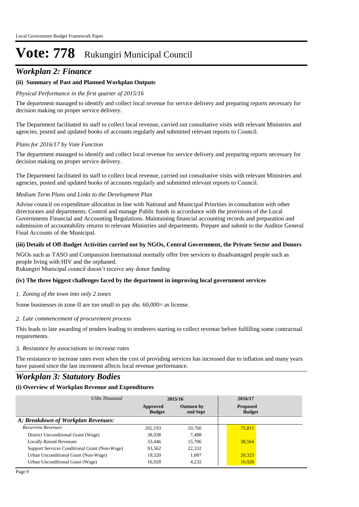### *Workplan 2: Finance*

#### **(ii) Summary of Past and Planned Workplan Outputs**

#### *Physical Performance in the first quarter of 2015/16*

The department managed to identify and collect local revenue for service delivery and preparing reports necessary for decision making on proper service delivery.

The Department facilitated its staff to collect local revenue, carried out consultative visits with relevant Ministries and agencies, posted and updated books of accounts regularly and submitted relevant reports to Council.

#### *Plans for 2016/17 by Vote Function*

The department managed to identify and collect local revenue for service delivery and preparing reports necessary for decision making on proper service delivery.

The Department facilitated its staff to collect local revenue, carried out consultative visits with relevant Ministries and agencies, posted and updated books of accounts regularly and submitted relevant reports to Council.

#### *Medium Term Plans and Links to the Development Plan*

Advise council on expenditure allocation in line with National and Municipal Priorities in consultation with other directorates and departments. Control and manage Public funds in accordance with the provisions of the Local Governments Financial and Accounting Regulations. Maintaining financial accounting records and preparation and submission of accountability returns to relevant Ministries and departments. Prepare and submit to the Auditor General Final Accounts of the Municipal.

#### **(iii) Details of Off-Budget Activities carried out by NGOs, Central Government, the Private Sector and Donors**

NGOs such as TASO and Compassion International normally offer free services to disadvantaged people such as people living with HIV and the orphaned.

Rukungiri Municipal council doesn't receive any donor funding

#### **(iv) The three biggest challenges faced by the department in improving local government services**

#### *Zoning of the town into only 2 zones 1.*

Some businesses in zone II are too small to pay shs. 60,000= as license.

#### *Late commencement of procurement process 2.*

This leads to late awarding of tenders leading to tenderers starting to collect revenue before fulfilling some contractual requirements.

#### *Resistance by associations to increase rates 3.*

The resistance to increase rates even when the cost of providing services has increased due to inflation and many years have passed since the last increment affects local revenue performance.

### *Workplan 3: Statutory Bodies*

#### **(i) Overview of Workplan Revenue and Expenditures**

| UShs Thousand                                 |                           | 2015/16                       | 2016/17                          |  |
|-----------------------------------------------|---------------------------|-------------------------------|----------------------------------|--|
|                                               | Approved<br><b>Budget</b> | <b>Outturn by</b><br>end Sept | <b>Proposed</b><br><b>Budget</b> |  |
| A: Breakdown of Workplan Revenues:            |                           |                               |                                  |  |
| <b>Recurrent Revenues</b>                     | 202.193                   | 50,766                        | 75,815                           |  |
| District Unconditional Grant (Wage)           | 38,938                    | 7.488                         |                                  |  |
| <b>Locally Raised Revenues</b>                | 33.446                    | 15.706                        | 38,564                           |  |
| Support Services Conditional Grant (Non-Wage) | 93,562                    | 22,332                        |                                  |  |
| Urban Unconditional Grant (Non-Wage)          | 19.320                    | 1.007                         | 20,323                           |  |
| Urban Unconditional Grant (Wage)              | 16.928                    | 4.232                         | 16,928                           |  |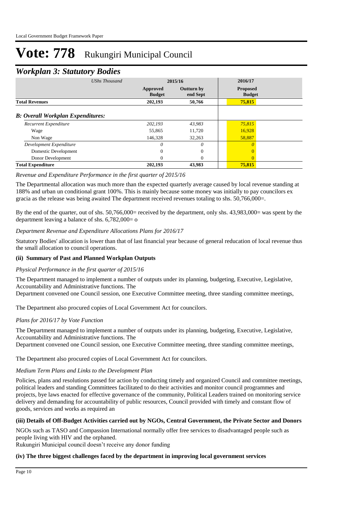### *Workplan 3: Statutory Bodies*

| ≖                                        |                           |                               |                                  |  |
|------------------------------------------|---------------------------|-------------------------------|----------------------------------|--|
| <b>UShs Thousand</b>                     |                           | 2015/16                       | 2016/17                          |  |
|                                          | Approved<br><b>Budget</b> | <b>Outturn by</b><br>end Sept | <b>Proposed</b><br><b>Budget</b> |  |
| <b>Total Revenues</b>                    | 202,193                   | 50,766                        | 75,815                           |  |
| <b>B: Overall Workplan Expenditures:</b> |                           |                               |                                  |  |
| Recurrent Expenditure                    | 202,193                   | 43,983                        | 75,815                           |  |
| Wage                                     | 55,865                    | 11,720                        | 16,928                           |  |
| Non Wage                                 | 146,328                   | 32,263                        | 58,887                           |  |
| Development Expenditure                  | $\theta$                  | $\theta$                      |                                  |  |
| Domestic Development                     | $\Omega$                  | $\Omega$                      |                                  |  |
| Donor Development                        | $\Omega$                  | $\Omega$                      |                                  |  |
| <b>Total Expenditure</b>                 | 202,193                   | 43,983                        | 75,815                           |  |

#### *Revenue and Expenditure Performance in the first quarter of 2015/16*

The Departmental allocation was much more than the expected quarterly average caused by local revenue standing at 188% and urban un conditional grant 100%. This is mainly because some money was initially to pay councilors ex gracia as the release was being awaited The department received revenues totaling to shs. 50,766,000=.

By the end of the quarter, out of shs. 50,766,000= received by the department, only shs. 43,983,000= was spent by the department leaving a balance of shs. 6,782,000= o

#### *Department Revenue and Expenditure Allocations Plans for 2016/17*

Statutory Bodies' allocation is lower than that of last financial year because of general reducation of local revenue thus the small allocation to council operations.

#### **(ii) Summary of Past and Planned Workplan Outputs**

#### *Physical Performance in the first quarter of 2015/16*

The Department managed to implement a number of outputs under its planning, budgeting, Executive, Legislative, Accountability and Administrative functions. The

Department convened one Council session, one Executive Committee meeting, three standing committee meetings,

The Department also procured copies of Local Government Act for councilors.

#### *Plans for 2016/17 by Vote Function*

The Department managed to implement a number of outputs under its planning, budgeting, Executive, Legislative, Accountability and Administrative functions. The

Department convened one Council session, one Executive Committee meeting, three standing committee meetings,

The Department also procured copies of Local Government Act for councilors.

#### *Medium Term Plans and Links to the Development Plan*

Policies, plans and resolutions passed for action by conducting timely and organized Council and committee meetings, political leaders and standing Committees facilitated to do their activities and monitor council programmes and projects, bye laws enacted for effective governance of the community, Political Leaders trained on monitoring service delivery and demanding for accountability of public resources, Council provided with timely and constant flow of goods, services and works as required an

#### **(iii) Details of Off-Budget Activities carried out by NGOs, Central Government, the Private Sector and Donors**

NGOs such as TASO and Compassion International normally offer free services to disadvantaged people such as people living with HIV and the orphaned.

Rukungiri Municipal council doesn't receive any donor funding

#### **(iv) The three biggest challenges faced by the department in improving local government services**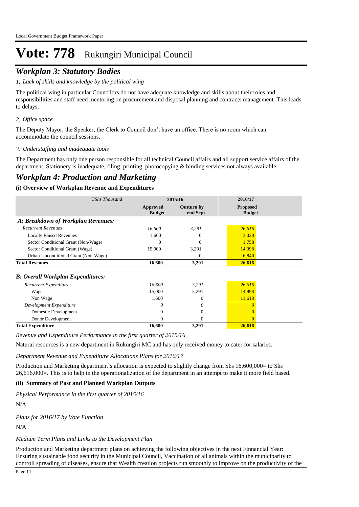### *Workplan 3: Statutory Bodies*

#### *Lack of skills and knowledge by the political wing 1.*

The political wing in particular Councilors do not have adequate knowledge and skills about their roles and responsibilities and staff need mentoring on procurement and disposal planning and contracts management. This leads to delays.

#### *Office space 2.*

The Deputy Mayor, the Speaker, the Clerk to Council don't have an office. There is no room which can accommodate the council sessions.

#### *Understaffing and inadequate tools 3.*

The Department has only one person responsible for all technical Council affairs and all support service affairs of the department. Stationery is inadequate, filing, printing, photocopying & binding services not always available.

### *Workplan 4: Production and Marketing*

#### **(i) Overview of Workplan Revenue and Expenditures**

| <b>UShs Thousand</b>                     |                           | 2015/16                       | 2016/17                          |
|------------------------------------------|---------------------------|-------------------------------|----------------------------------|
|                                          | Approved<br><b>Budget</b> | <b>Outturn by</b><br>end Sept | <b>Proposed</b><br><b>Budget</b> |
| A: Breakdown of Workplan Revenues:       |                           |                               |                                  |
| <b>Recurrent Revenues</b>                | 16,600                    | 3,291                         | 26,616                           |
| <b>Locally Raised Revenues</b>           | 1,600                     |                               | 3,020                            |
| Sector Conditional Grant (Non-Wage)      | $\Omega$                  | 0                             | 1,758                            |
| Sector Conditional Grant (Wage)          | 15,000                    | 3,291                         | 14,998                           |
| Urban Unconditional Grant (Non-Wage)     |                           | 0                             | 6,840                            |
| <b>Total Revenues</b>                    | 16,600                    | 3,291                         | 26,616                           |
| <b>B: Overall Workplan Expenditures:</b> |                           |                               |                                  |
| Recurrent Expenditure                    | 16,600                    | 3,291                         | 26,616                           |
| Wage                                     | 15,000                    | 3,291                         | 14,998                           |
| Non Wage                                 | 1,600                     | 0                             | 11,618                           |
| Development Expenditure                  | O                         | 0                             |                                  |
| Domestic Development                     |                           | 0                             |                                  |
| Donor Development                        | 0                         | 0                             | 0                                |
| <b>Total Expenditure</b>                 | 16,600                    | 3,291                         | 26,616                           |

*Revenue and Expenditure Performance in the first quarter of 2015/16*

Natural resources is a new department in Rukungiri MC and has only received money to cater for salaries.

*Department Revenue and Expenditure Allocations Plans for 2016/17*

Production and Marketing department`s allocation is expected to slightly change from Shs 16,600,000= to Shs 26,616,000=. This is to help in the operationalization of the department in an attempt to make it more field based.

#### **(ii) Summary of Past and Planned Workplan Outputs**

*Physical Performance in the first quarter of 2015/16*

N/A

*Plans for 2016/17 by Vote Function*

N/A

#### *Medium Term Plans and Links to the Development Plan*

Production and Marketing department plans on achieving the following objectives in the next Finnancial Year: Ensuring sustainable food security in the Municipal Council, Vaccination of all animals within the municiparity to controll spreading of diseases, ensure that Wealth creation projects run smoothly to improve on the productivity of the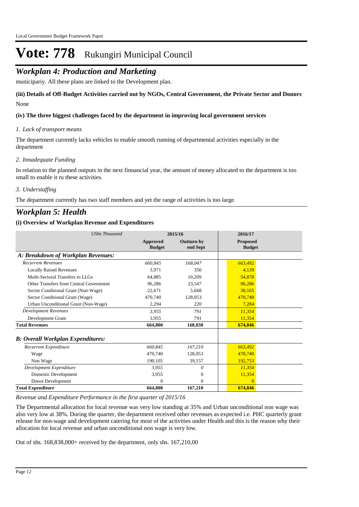### *Workplan 4: Production and Marketing*

municipariy. All these plans are linked to the Development plan.

None **(iii) Details of Off-Budget Activities carried out by NGOs, Central Government, the Private Sector and Donors** 

#### **(iv) The three biggest challenges faced by the department in improving local government services**

#### *Lack of transport means 1.*

The department currently lacks vehicles to enable smooth running of departmental activities especially in the department

#### *Innadequate Funding 2.*

In relation to the planned outputs in the next finnancial year, the amount of money allocated to the department is too small to enable it ru these activities.

#### *Understaffing 3.*

The department currently has two staff members and yet the range of activities is too large.

### *Workplan 5: Health*

#### **(i) Overview of Workplan Revenue and Expenditures**

| <b>UShs Thousand</b>                     | 2015/16                          |                               | 2016/17                          |  |
|------------------------------------------|----------------------------------|-------------------------------|----------------------------------|--|
|                                          | <b>Approved</b><br><b>Budget</b> | <b>Outturn by</b><br>end Sept | <b>Proposed</b><br><b>Budget</b> |  |
| A: Breakdown of Workplan Revenues:       |                                  |                               |                                  |  |
| <b>Recurrent Revenues</b>                | 660,845                          | 168,047                       | 663,492                          |  |
| <b>Locally Raised Revenues</b>           | 3,971                            | 350                           | 4,139                            |  |
| Multi-Sectoral Transfers to LLGs         | 64.885                           | 10,209                        | 54,878                           |  |
| Other Transfers from Central Government  | 96,286                           | 23,547                        | 96,286                           |  |
| Sector Conditional Grant (Non-Wage)      | 22.671                           | 5.668                         | 30.165                           |  |
| Sector Conditional Grant (Wage)          | 470,740                          | 128,053                       | 470,740                          |  |
| Urban Unconditional Grant (Non-Wage)     | 2,294                            | 220                           | 7,284                            |  |
| <b>Development Revenues</b>              | 3,955                            | 791                           | 11,354                           |  |
| Development Grant                        | 3,955                            | 791                           | 11,354                           |  |
| <b>Total Revenues</b>                    | 664,800                          | 168,838                       | 674,846                          |  |
| <b>B: Overall Workplan Expenditures:</b> |                                  |                               |                                  |  |
| Recurrent Expenditure                    | 660,845                          | 167,210                       | 663,492                          |  |
| Wage                                     | 470,740                          | 128,053                       | 470.740                          |  |
| Non Wage                                 | 190,105                          | 39,157                        | 192,753                          |  |
| Development Expenditure                  | 3,955                            | 0                             | 11,354                           |  |
| Domestic Development                     | 3,955                            | $\theta$                      | 11,354                           |  |
| Donor Development                        | $\theta$                         | $\theta$                      | $\Omega$                         |  |
| <b>Total Expenditure</b>                 | 664,800                          | 167,210                       | 674,846                          |  |

*Revenue and Expenditure Performance in the first quarter of 2015/16*

The Departmental allocation for local revenue was very low standing at 35% and Urban unconditional non wage was also very low at 38%. During the quarter, the department received other revenues as expected i.e. PHC quarterly grant release for non-wage and development catering for most of the activities under Health and this is the reason why their allocation for local revenue and urban unconditional non wage is very low.

Out of shs. 168,838,000= received by the department, only shs. 167,210,00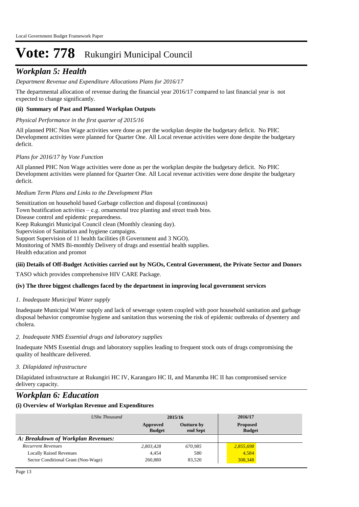## *Workplan 5: Health*

#### *Department Revenue and Expenditure Allocations Plans for 2016/17*

The departmental allocation of revenue during the financial year 2016/17 compared to last financial year is not expected to change significantly.

#### **(ii) Summary of Past and Planned Workplan Outputs**

#### *Physical Performance in the first quarter of 2015/16*

All planned PHC Non Wage activities were done as per the workplan despite the budgetary deficit. No PHC Development activities were planned for Quarter One. All Local revenue activities were done despite the budgetary deficit.

#### *Plans for 2016/17 by Vote Function*

All planned PHC Non Wage activities were done as per the workplan despite the budgetary deficit. No PHC Development activities were planned for Quarter One. All Local revenue activities were done despite the budgetary deficit.

#### *Medium Term Plans and Links to the Development Plan*

Sensitization on household based Garbage collection and disposal (continuous) Town beatification activities – e.g. ornamental tree planting and street trash bins. Disease control and epidemic preparedness. Keep Rukungiri Municipal Council clean (Monthly cleaning day). Supervision of Sanitation and hygiene campaigns. Support Supervision of 11 health facilities (8 Government and 3 NGO). Monitoring of NMS Bi-monthly Delivery of drugs and essential health supplies. Health education and promot

#### **(iii) Details of Off-Budget Activities carried out by NGOs, Central Government, the Private Sector and Donors**

TASO which provides comprehensive HIV CARE Package.

#### **(iv) The three biggest challenges faced by the department in improving local government services**

#### *Inadequate Municipal Water supply 1.*

Inadequate Municipal Water supply and lack of sewerage system coupled with poor household sanitation and garbage disposal behavior compromise hygiene and sanitation thus worsening the risk of epidemic outbreaks of dysentery and cholera.

#### *Inadequate NMS Essential drugs and laboratory supplies 2.*

Inadequate NMS Essential drugs and laboratory supplies leading to frequent stock outs of drugs compromising the quality of healthcare delivered.

#### *Dilapidated infrastructure 3.*

Dilapidated infrastructure at Rukungiri HC IV, Karangaro HC II, and Marumba HC II has compromised service delivery capacity.

### *Workplan 6: Education*

#### **(i) Overview of Workplan Revenue and Expenditures**

| UShs Thousand                       | 2015/16                   |                               | 2016/17                          |
|-------------------------------------|---------------------------|-------------------------------|----------------------------------|
|                                     | Approved<br><b>Budget</b> | <b>Outturn by</b><br>end Sept | <b>Proposed</b><br><b>Budget</b> |
| A: Breakdown of Workplan Revenues:  |                           |                               |                                  |
| <b>Recurrent Revenues</b>           | 2,803,428                 | 670,985                       | 2,855,698                        |
| <b>Locally Raised Revenues</b>      | 4,454                     | 580                           | 4,584                            |
| Sector Conditional Grant (Non-Wage) | 260,880                   | 83,520                        | 308,348                          |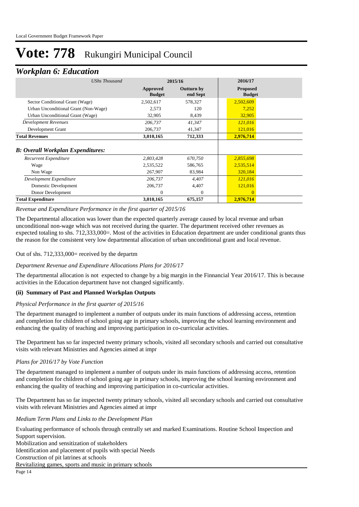### *Workplan 6: Education*

| ┻                                        |                           |                               |                                  |
|------------------------------------------|---------------------------|-------------------------------|----------------------------------|
| <b>UShs Thousand</b>                     |                           | 2015/16                       | 2016/17                          |
|                                          | Approved<br><b>Budget</b> | <b>Outturn by</b><br>end Sept | <b>Proposed</b><br><b>Budget</b> |
| Sector Conditional Grant (Wage)          | 2,502,617                 | 578,327                       | 2,502,609                        |
| Urban Unconditional Grant (Non-Wage)     | 2,573                     | 120                           | 7,252                            |
| Urban Unconditional Grant (Wage)         | 32,905                    | 8,439                         | 32,905                           |
| <b>Development Revenues</b>              | 206,737                   | 41,347                        | 121,016                          |
| Development Grant                        | 206,737                   | 41,347                        | 121,016                          |
| <b>Total Revenues</b>                    | 3,010,165                 | 712,333                       | 2,976,714                        |
| <b>B: Overall Workplan Expenditures:</b> |                           |                               |                                  |
| Recurrent Expenditure                    | 2,803,428                 | 670,750                       | 2,855,698                        |
| Wage                                     | 2,535,522                 | 586,765                       | 2,535,514                        |
| Non Wage                                 | 267,907                   | 83,984                        | 320,184                          |
| Development Expenditure                  | 206,737                   | 4,407                         | 121,016                          |
| Domestic Development                     | 206,737                   | 4,407                         | 121,016                          |
| Donor Development                        | 0                         | $\Omega$                      | $\Omega$                         |
| <b>Total Expenditure</b>                 | 3,010,165                 | 675,157                       | 2,976,714                        |

#### *Revenue and Expenditure Performance in the first quarter of 2015/16*

The Departmental allocation was lower than the expected quarterly average caused by local revenue and urban unconditional non-wage which was not received during the quarter. The department received other revenues as expected totaling to shs. 712,333,000=. Most of the activities in Education department are under conditional grants thus the reason for the consistent very low departmental allocation of urban unconditional grant and local revenue.

#### Out of shs. 712,333,000= received by the departm

#### *Department Revenue and Expenditure Allocations Plans for 2016/17*

The departmental allocation is not expected to change by a big margin in the Finnancial Year 2016/17. This is because activities in the Education department have not changed significantly.

#### **(ii) Summary of Past and Planned Workplan Outputs**

#### *Physical Performance in the first quarter of 2015/16*

The department managed to implement a number of outputs under its main functions of addressing access, retention and completion for children of school going age in primary schools, improving the school learning environment and enhancing the quality of teaching and improving participation in co-curricular activities.

The Department has so far inspected twenty primary schools, visited all secondary schools and carried out consultative visits with relevant Ministries and Agencies aimed at impr

#### *Plans for 2016/17 by Vote Function*

The department managed to implement a number of outputs under its main functions of addressing access, retention and completion for children of school going age in primary schools, improving the school learning environment and enhancing the quality of teaching and improving participation in co-curricular activities.

The Department has so far inspected twenty primary schools, visited all secondary schools and carried out consultative visits with relevant Ministries and Agencies aimed at impr

*Medium Term Plans and Links to the Development Plan*

Evaluating performance of schools through centrally set and marked Examinations. Routine School Inspection and Support supervision. Mobilization and sensitization of stakeholders Identification and placement of pupils with special Needs Construction of pit latrines at schools Revitalizing games, sports and music in primary schools

Page 14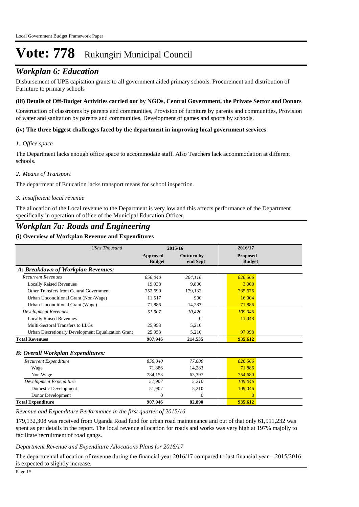### *Workplan 6: Education*

Disbursement of UPE capitation grants to all government aided primary schools. Procurement and distribution of Furniture to primary schools

#### **(iii) Details of Off-Budget Activities carried out by NGOs, Central Government, the Private Sector and Donors**

Construction of classrooms by parents and communities, Provision of furniture by parents and communities, Provision of water and sanitation by parents and communities, Development of games and sports by schools.

#### **(iv) The three biggest challenges faced by the department in improving local government services**

#### *Office space 1.*

The Department lacks enough office space to accommodate staff. Also Teachers lack accommodation at different schools.

#### *Means of Transport 2.*

The department of Education lacks transport means for school inspection.

#### *Insufficient local revenue 3.*

The allocation of the Local revenue to the Department is very low and this affects performance of the Department specifically in operation of office of the Municipal Education Officer.

### *Workplan 7a: Roads and Engineering*

#### **(i) Overview of Workplan Revenue and Expenditures**

| <b>UShs Thousand</b>                               |                                  | 2015/16                       | 2016/17                          |
|----------------------------------------------------|----------------------------------|-------------------------------|----------------------------------|
|                                                    | <b>Approved</b><br><b>Budget</b> | <b>Outturn by</b><br>end Sept | <b>Proposed</b><br><b>Budget</b> |
| A: Breakdown of Workplan Revenues:                 |                                  |                               |                                  |
| <b>Recurrent Revenues</b>                          | 856,040                          | 204,116                       | 826,566                          |
| <b>Locally Raised Revenues</b>                     | 19,938                           | 9.800                         | 3,000                            |
| Other Transfers from Central Government            | 752.699                          | 179,132                       | 735,676                          |
| Urban Unconditional Grant (Non-Wage)               | 11,517                           | 900                           | 16,004                           |
| Urban Unconditional Grant (Wage)                   | 71,886                           | 14,283                        | 71,886                           |
| <b>Development Revenues</b>                        | 51,907                           | 10,420                        | 109,046                          |
| <b>Locally Raised Revenues</b>                     |                                  | 0                             | 11,048                           |
| Multi-Sectoral Transfers to LLGs                   | 25,953                           | 5,210                         |                                  |
| Urban Discretionary Development Equalization Grant | 25,953                           | 5,210                         | 97,998                           |
| <b>Total Revenues</b>                              | 907,946                          | 214,535                       | 935,612                          |
| <b>B: Overall Workplan Expenditures:</b>           |                                  |                               |                                  |
| Recurrent Expenditure                              | 856,040                          | 77,680                        | 826,566                          |
| Wage                                               | 71.886                           | 14,283                        | 71.886                           |
| Non Wage                                           | 784,153                          | 63,397                        | 754,680                          |
| Development Expenditure                            | 51,907                           | 5,210                         | 109.046                          |
| Domestic Development                               | 51,907                           | 5,210                         | 109,046                          |
| Donor Development                                  | $\Omega$                         | $\Omega$                      | $\Omega$                         |
| <b>Total Expenditure</b>                           | 907,946                          | 82,890                        | 935,612                          |

*Revenue and Expenditure Performance in the first quarter of 2015/16*

179,132,308 was received from Uganda Road fund for urban road maintenance and out of that only 61,911,232 was spent as per details in the report. The local revenue allocation for roads and works was very high at 197% majolly to facilitate recruitment of road gangs.

#### *Department Revenue and Expenditure Allocations Plans for 2016/17*

The departmental allocation of revenue during the financial year 2016/17 compared to last financial year – 2015/2016 is expected to slightly increase.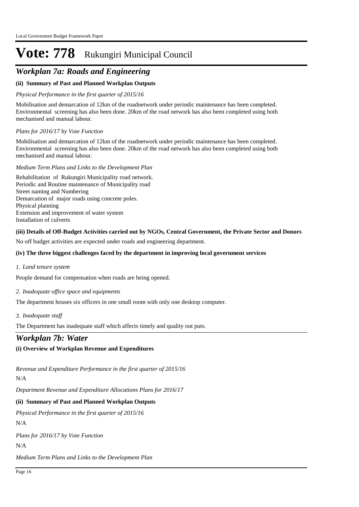## *Workplan 7a: Roads and Engineering*

#### **(ii) Summary of Past and Planned Workplan Outputs**

#### *Physical Performance in the first quarter of 2015/16*

Mobilisation and demarcation of 12km of the roadnetwork under periodic maintenance has been completed. Environmental screening has also been done. 20km of the road network has also been completed using both mechanised and manual labour.

#### *Plans for 2016/17 by Vote Function*

Mobilisation and demarcation of 12km of the roadnetwork under periodic maintenance has been completed. Environmental screening has also been done. 20km of the road network has also been completed using both mechanised and manual labour.

#### *Medium Term Plans and Links to the Development Plan*

Rehabilitation of Rukungiri Municipality road network. Periodic and Routine maintenance of Municipality road Street naming and Numbering Demarcation of major roads using concrete poles. Physical planning Extension and improvement of water system Installation of culverts

#### **(iii) Details of Off-Budget Activities carried out by NGOs, Central Government, the Private Sector and Donors**

No off budget activities are expected under roads and engineering department.

#### **(iv) The three biggest challenges faced by the department in improving local government services**

#### *Land tenure system 1.*

People demand for compensation when roads are being opened.

#### *Inadequate office space and equipments 2.*

The department houses six officers in one small room with only one desktop computer.

#### *Inadequate staff 3.*

The Department has inadequate staff which affects timely and quality out puts.

### *Workplan 7b: Water*

### **(i) Overview of Workplan Revenue and Expenditures**

*Revenue and Expenditure Performance in the first quarter of 2015/16*

#### N/A

*Department Revenue and Expenditure Allocations Plans for 2016/17*

#### **(ii) Summary of Past and Planned Workplan Outputs**

N/A *Physical Performance in the first quarter of 2015/16*

*Plans for 2016/17 by Vote Function*

 $N/\Delta$ 

*Medium Term Plans and Links to the Development Plan*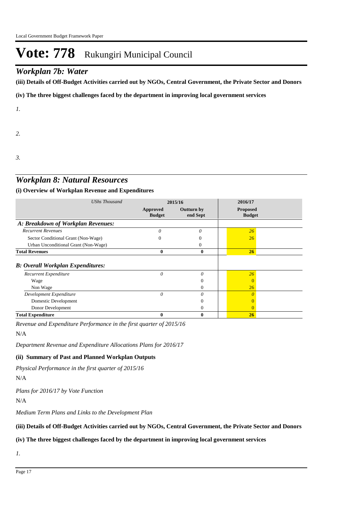### *Workplan 7b: Water*

**(iii) Details of Off-Budget Activities carried out by NGOs, Central Government, the Private Sector and Donors** 

**(iv) The three biggest challenges faced by the department in improving local government services**

*1.*

*2.*

*3.*

## *Workplan 8: Natural Resources*

#### **(i) Overview of Workplan Revenue and Expenditures**

| <b>UShs Thousand</b>                     | 2015/16                   |                               | 2016/17                          |  |
|------------------------------------------|---------------------------|-------------------------------|----------------------------------|--|
|                                          | Approved<br><b>Budget</b> | <b>Outturn by</b><br>end Sept | <b>Proposed</b><br><b>Budget</b> |  |
| A: Breakdown of Workplan Revenues:       |                           |                               |                                  |  |
| <b>Recurrent Revenues</b>                | $\theta$                  | 0                             | 26                               |  |
| Sector Conditional Grant (Non-Wage)      |                           |                               | 26                               |  |
| Urban Unconditional Grant (Non-Wage)     |                           | 0                             |                                  |  |
| <b>Total Revenues</b>                    | $\bf{0}$                  | $\bf{0}$                      | 26                               |  |
| <b>B: Overall Workplan Expenditures:</b> |                           |                               |                                  |  |
| <b>Recurrent Expenditure</b>             | $\theta$                  | $\theta$                      | 26                               |  |
| Wage                                     |                           |                               |                                  |  |
| Non Wage                                 |                           | $\Omega$                      | 26                               |  |
| Development Expenditure                  | 0                         | $\theta$                      |                                  |  |
| Domestic Development                     |                           | $\Omega$                      |                                  |  |
| Donor Development                        |                           | $\overline{0}$                | $\theta$                         |  |
| <b>Total Expenditure</b>                 | $\bf{0}$                  | $\bf{0}$                      | <b>26</b>                        |  |

*Revenue and Expenditure Performance in the first quarter of 2015/16*

N/A

*Department Revenue and Expenditure Allocations Plans for 2016/17*

#### **(ii) Summary of Past and Planned Workplan Outputs**

*Physical Performance in the first quarter of 2015/16*

N/A

*Plans for 2016/17 by Vote Function*

N/A

*Medium Term Plans and Links to the Development Plan*

#### **(iii) Details of Off-Budget Activities carried out by NGOs, Central Government, the Private Sector and Donors**

#### **(iv) The three biggest challenges faced by the department in improving local government services**

*1.*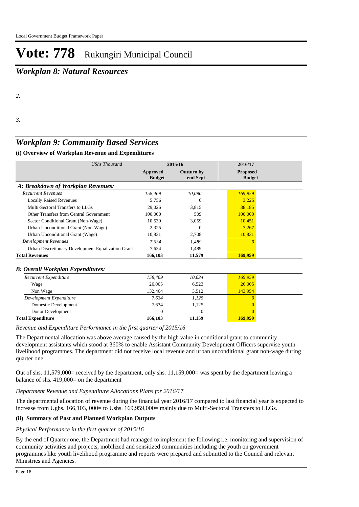## *Workplan 8: Natural Resources*

*3.*

## *Workplan 9: Community Based Services*

#### **(i) Overview of Workplan Revenue and Expenditures**

| <b>UShs Thousand</b>                               | 2015/16                          |                               | 2016/17                          |  |
|----------------------------------------------------|----------------------------------|-------------------------------|----------------------------------|--|
|                                                    | <b>Approved</b><br><b>Budget</b> | <b>Outturn by</b><br>end Sept | <b>Proposed</b><br><b>Budget</b> |  |
| A: Breakdown of Workplan Revenues:                 |                                  |                               |                                  |  |
| <b>Recurrent Revenues</b>                          | 158,469                          | 10,090                        | 169,959                          |  |
| <b>Locally Raised Revenues</b>                     | 5,756                            | $\Omega$                      | 3.225                            |  |
| Multi-Sectoral Transfers to LLGs                   | 29,026                           | 3,815                         | 38,185                           |  |
| Other Transfers from Central Government            | 100,000                          | 509                           | 100,000                          |  |
| Sector Conditional Grant (Non-Wage)                | 10.530                           | 3.059                         | 10.451                           |  |
| Urban Unconditional Grant (Non-Wage)               | 2,325                            | $\Omega$                      | 7,267                            |  |
| Urban Unconditional Grant (Wage)                   | 10,831                           | 2,708                         | 10,831                           |  |
| <b>Development Revenues</b>                        | 7,634                            | 1,489                         | $\theta$                         |  |
| Urban Discretionary Development Equalization Grant | 7,634                            | 1,489                         |                                  |  |
| <b>Total Revenues</b>                              | 166,103                          | 11,579                        | 169,959                          |  |
| <b>B: Overall Workplan Expenditures:</b>           |                                  |                               |                                  |  |
| Recurrent Expenditure                              | 158,469                          | 10,034                        | 169,959                          |  |
| Wage                                               | 26,005                           | 6,523                         | 26,005                           |  |
| Non Wage                                           | 132,464                          | 3,512                         | 143,954                          |  |
| Development Expenditure                            | 7,634                            | 1.125                         | n                                |  |
| Domestic Development                               | 7,634                            | 1,125                         | $\Omega$                         |  |
| Donor Development                                  | 0                                | 0                             | $\Omega$                         |  |
| <b>Total Expenditure</b>                           | 166,103                          | 11,159                        | 169,959                          |  |

*Revenue and Expenditure Performance in the first quarter of 2015/16*

The Departmental allocation was above average caused by the high value in conditional grant to community development assistants which stood at 360% to enable Assistant Community Development Officers supervise youth livelihood programmes. The department did not receive local revenue and urban unconditional grant non-wage during quarter one.

Out of shs. 11,579,000= received by the department, only shs. 11,159,000= was spent by the department leaving a balance of shs. 419,000= on the department

#### *Department Revenue and Expenditure Allocations Plans for 2016/17*

The departmental allocation of revenue during the financial year 2016/17 compared to last financial year is expected to increase from Ughs. 166,103, 000= to Ushs. 169,959,000= mainly due to Multi-Sectoral Transfers to LLGs.

#### **(ii) Summary of Past and Planned Workplan Outputs**

#### *Physical Performance in the first quarter of 2015/16*

By the end of Quarter one, the Department had managed to implement the following i.e. monitoring and supervision of community activities and projects, mobilized and sensitized communities including the youth on government programmes like youth livelihood programme and reports were prepared and submitted to the Council and relevant Ministries and Agencies.

*<sup>2.</sup>*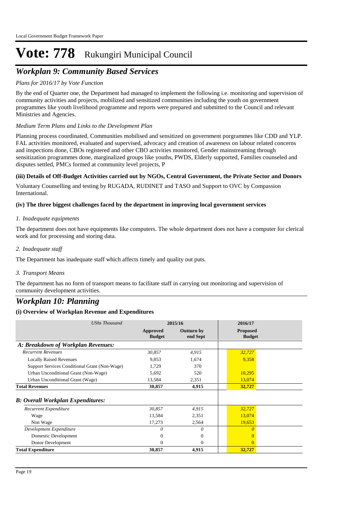## *Workplan 9: Community Based Services*

#### *Plans for 2016/17 by Vote Function*

By the end of Quarter one, the Department had managed to implement the following i.e. monitoring and supervision of community activities and projects, mobilized and sensitized communities including the youth on government programmes like youth livelihood programme and reports were prepared and submitted to the Council and relevant Ministries and Agencies.

#### *Medium Term Plans and Links to the Development Plan*

Planning process coordinated, Communities mobilised and sensitized on government porgrammes like CDD and YLP. FAL activities monitored, evaluated and supervised, advocacy and creation of awareness on labour related concerns and inspections done, CBOs registered and other CBO activities monitored, Gender mainstreaming through sensitization programmes done, marginalized groups like youths, PWDS, Elderly supported, Families counseled and disputes settled, PMCs formed at community level projects, P

#### **(iii) Details of Off-Budget Activities carried out by NGOs, Central Government, the Private Sector and Donors**

Voluntary Counselling and testing by RUGADA, RUDINET and TASO and Support to OVC by Compassion International.

#### **(iv) The three biggest challenges faced by the department in improving local government services**

#### *Inadequate equipments 1.*

The department does not have equipments like computers. The whole department does not have a computer for clerical work and for processing and storing data.

#### *Inadequate staff 2.*

The Department has inadequate staff which affects timely and quality out puts.

#### *Transport Means 3.*

The department has no form of transport means to facilitate staff in carrying out monitoring and supervision of community development activities.

### *Workplan 10: Planning*

#### **(i) Overview of Workplan Revenue and Expenditures**

| <b>UShs Thousand</b>                          | 2015/16                   |                               | 2016/17                          |  |
|-----------------------------------------------|---------------------------|-------------------------------|----------------------------------|--|
|                                               | Approved<br><b>Budget</b> | <b>Outturn by</b><br>end Sept | <b>Proposed</b><br><b>Budget</b> |  |
| A: Breakdown of Workplan Revenues:            |                           |                               |                                  |  |
| <b>Recurrent Revenues</b>                     | 30,857                    | 4,915                         | 32,727                           |  |
| <b>Locally Raised Revenues</b>                | 9,853                     | 1,674                         | 9,358                            |  |
| Support Services Conditional Grant (Non-Wage) | 1,729                     | 370                           |                                  |  |
| Urban Unconditional Grant (Non-Wage)          | 5,692                     | 520                           | 10,295                           |  |
| Urban Unconditional Grant (Wage)              | 13,584                    | 2,351                         | 13,074                           |  |
| <b>Total Revenues</b>                         | 30,857                    | 4,915                         | 32,727                           |  |
| <b>B: Overall Workplan Expenditures:</b>      |                           |                               |                                  |  |
| Recurrent Expenditure                         | 30,857                    | 4,915                         | 32,727                           |  |
| Wage                                          | 13,584                    | 2,351                         | 13,074                           |  |
| Non Wage                                      | 17,273                    | 2,564                         | 19,653                           |  |
| Development Expenditure                       | O                         | $\theta$                      | $\Omega$                         |  |
| Domestic Development                          | 0                         | $\Omega$                      |                                  |  |
| Donor Development                             | 0                         | $\Omega$                      | $\Omega$                         |  |
| <b>Total Expenditure</b>                      | 30,857                    | 4,915                         | 32,727                           |  |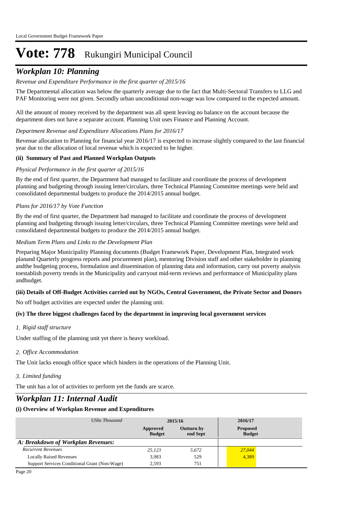### *Workplan 10: Planning*

#### *Revenue and Expenditure Performance in the first quarter of 2015/16*

The Departmental allocation was below the quarterly average due to the fact that Multi-Sectoral Transfers to LLG and PAF Monitoring were not given. Secondly urban unconditional non-wage was low compared to the expected amount.

All the amount of money received by the department was all spent leaving no balance on the account because the department does not have a separate account. Planning Unit uses Finance and Planning Account.

*Department Revenue and Expenditure Allocations Plans for 2016/17*

Revenue allocation to Planning for financial year 2016/17 is expected to increase slightly compared to the last financial year due to the allocation of local revenue which is expected to be higher.

#### **(ii) Summary of Past and Planned Workplan Outputs**

#### *Physical Performance in the first quarter of 2015/16*

By the end of first quarter, the Department had managed to facilitate and coordinate the process of development planning and budgeting through issuing letter/circulars, three Technical Planning Committee meetings were held and consolidated departmental budgets to produce the 2014/2015 annual budget.

#### *Plans for 2016/17 by Vote Function*

By the end of first quarter, the Department had managed to facilitate and coordinate the process of development planning and budgeting through issuing letter/circulars, three Technical Planning Committee meetings were held and consolidated departmental budgets to produce the 2014/2015 annual budget.

#### *Medium Term Plans and Links to the Development Plan*

Preparing Major Municipality Planning documents (Budget Framework Paper, Development Plan, Integrated work planand Quarterly progress reports and procurement plan), mentoring Division staff and other stakeholder in planning andthe budgeting process, formulation and dissemination of planning data and information, carry out poverty analysis toestablish poverty trends in the Municipality and carryout mid-term reviews and performance of Municipality plans andbudget.

#### **(iii) Details of Off-Budget Activities carried out by NGOs, Central Government, the Private Sector and Donors**

No off budget activities are expected under the planning unit.

#### **(iv) The three biggest challenges faced by the department in improving local government services**

*Rigid staff structure 1.*

Under staffing of the planning unit yet there is heavy workload.

*Office Accommodation 2.*

The Unit lacks enough office space which hinders in the operations of the Planning Unit.

*Limited funding 3.*

The unit has a lot of activities to perform yet the funds are scarce.

### *Workplan 11: Internal Audit*

#### **(i) Overview of Workplan Revenue and Expenditures**

| UShs Thousand                                 | 2015/16                   |                               | 2016/17                          |  |
|-----------------------------------------------|---------------------------|-------------------------------|----------------------------------|--|
|                                               | Approved<br><b>Budget</b> | <b>Outturn by</b><br>end Sept | <b>Proposed</b><br><b>Budget</b> |  |
| A: Breakdown of Workplan Revenues:            |                           |                               |                                  |  |
| <b>Recurrent Revenues</b>                     | 25.123                    | 5,672                         | 27,044                           |  |
| <b>Locally Raised Revenues</b>                | 3,983                     | 529                           | 4,389                            |  |
| Support Services Conditional Grant (Non-Wage) | 2.593                     | 751                           |                                  |  |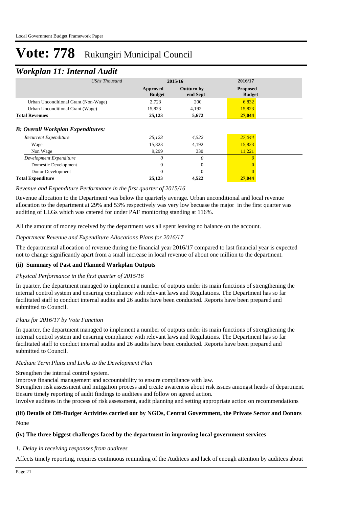### *Workplan 11: Internal Audit*

| ┻                                                                 |                           |                               |                                  |  |
|-------------------------------------------------------------------|---------------------------|-------------------------------|----------------------------------|--|
| UShs Thousand                                                     | 2015/16                   |                               | 2016/17                          |  |
|                                                                   | Approved<br><b>Budget</b> | <b>Outturn by</b><br>end Sept | <b>Proposed</b><br><b>Budget</b> |  |
| Urban Unconditional Grant (Non-Wage)                              | 2,723                     | 200                           | 6,832                            |  |
| Urban Unconditional Grant (Wage)                                  | 15,823                    | 4,192                         | 15,823                           |  |
| <b>Total Revenues</b>                                             | 25,123                    | 5,672                         | 27,044                           |  |
| <b>B: Overall Workplan Expenditures:</b><br>Recurrent Expenditure | 25,123                    | 4,522                         | 27,044                           |  |
| Wage<br>Non Wage                                                  | 15,823<br>9,299           | 4,192<br>330                  | 15,823<br>11,221                 |  |
| Development Expenditure<br>Domestic Development                   | $\theta$<br>$\Omega$      | $\theta$<br>$\Omega$          | $\theta$                         |  |
| Donor Development                                                 | $\mathbf{0}$              | $\theta$                      |                                  |  |
| <b>Total Expenditure</b>                                          | 25,123                    | 4,522                         | 27,044                           |  |

#### *Revenue and Expenditure Performance in the first quarter of 2015/16*

Revenue allocation to the Department was below the quarterly average. Urban unconditional and local revenue allocation to the department at 29% and 53% respectively was very low becuase the major in the first quarter was auditing of LLGs which was catered for under PAF monitoring standing at 116%.

All the amount of money received by the department was all spent leaving no balance on the account.

#### *Department Revenue and Expenditure Allocations Plans for 2016/17*

The departmental allocation of revenue during the financial year 2016/17 compared to last financial year is expected not to change significantly apart from a small increase in local revenue of about one million to the department.

#### **(ii) Summary of Past and Planned Workplan Outputs**

#### *Physical Performance in the first quarter of 2015/16*

In quarter, the department managed to implement a number of outputs under its main functions of strengthening the internal control system and ensuring compliance with relevant laws and Regulations. The Department has so far facilitated staff to conduct internal audits and 26 audits have been conducted. Reports have been prepared and submitted to Council.

#### *Plans for 2016/17 by Vote Function*

In quarter, the department managed to implement a number of outputs under its main functions of strengthening the internal control system and ensuring compliance with relevant laws and Regulations. The Department has so far facilitated staff to conduct internal audits and 26 audits have been conducted. Reports have been prepared and submitted to Council.

#### *Medium Term Plans and Links to the Development Plan*

Strengthen the internal control system.

Improve financial management and accountability to ensure compliance with law.

Strengthen risk assessment and mitigation process and create awareness about risk issues amongst heads of department. Ensure timely reporting of audit findings to auditees and follow on agreed action.

Involve auditees in the process of risk assessment, audit planning and setting appropriate action on recommendations

#### None **(iii) Details of Off-Budget Activities carried out by NGOs, Central Government, the Private Sector and Donors**

## **(iv) The three biggest challenges faced by the department in improving local government services**

#### *Delay in receiving responses from auditees 1.*

Affects timely reporting, requires continuous reminding of the Auditees and lack of enough attention by auditees about